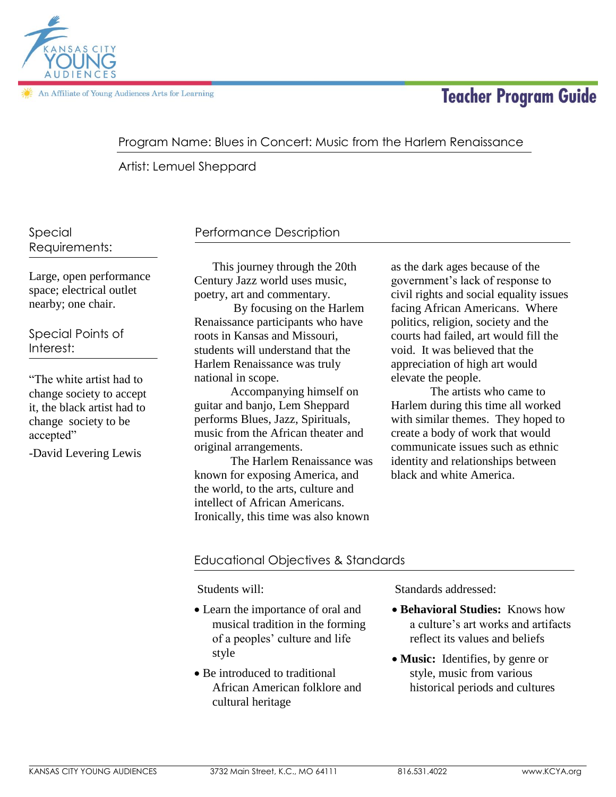

# **Teacher Program Guide**

# Program Name: Blues in Concert: Music from the Harlem Renaissance

Artist: Lemuel Sheppard

Special Requirements:

Large, open performance space; electrical outlet nearby; one chair.

Special Points of Interest:

"The white artist had to change society to accept it, the black artist had to change society to be accepted"

-David Levering Lewis

# Performance Description

 This journey through the 20th Century Jazz world uses music, poetry, art and commentary.

By focusing on the Harlem Renaissance participants who have roots in Kansas and Missouri, students will understand that the Harlem Renaissance was truly national in scope.

Accompanying himself on guitar and banjo, Lem Sheppard performs Blues, Jazz, Spirituals, music from the African theater and original arrangements.

 The Harlem Renaissance was known for exposing America, and the world, to the arts, culture and intellect of African Americans. Ironically, this time was also known

as the dark ages because of the government's lack of response to civil rights and social equality issues facing African Americans. Where politics, religion, society and the courts had failed, art would fill the void. It was believed that the appreciation of high art would elevate the people.

The artists who came to Harlem during this time all worked with similar themes. They hoped to create a body of work that would communicate issues such as ethnic identity and relationships between black and white America.

### Educational Objectives & Standards

Students will:

- Learn the importance of oral and musical tradition in the forming of a peoples' culture and life style
- Be introduced to traditional African American folklore and cultural heritage

Standards addressed:

- **Behavioral Studies:** Knows how a culture's art works and artifacts reflect its values and beliefs
- **Music:** Identifies, by genre or style, music from various historical periods and cultures